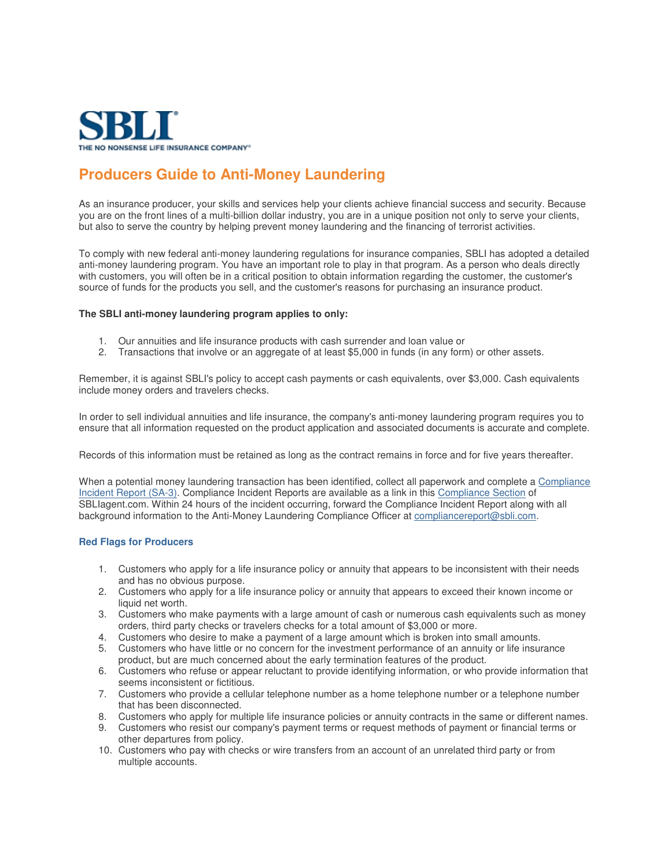

## **Producers Guide to Anti-Money Laundering**

As an insurance producer, your skills and services help your clients achieve financial success and security. Because you are on the front lines of a multi-billion dollar industry, you are in a unique position not only to serve your clients, but also to serve the country by helping prevent money laundering and the financing of terrorist activities.

To comply with new federal anti-money laundering regulations for insurance companies, SBLI has adopted a detailed anti-money laundering program. You have an important role to play in that program. As a person who deals directly with customers, you will often be in a critical position to obtain information regarding the customer, the customer's source of funds for the products you sell, and the customer's reasons for purchasing an insurance product.

## **The SBLI anti-money laundering program applies to only:**

- 1. Our annuities and life insurance products with cash surrender and loan value or
- 2. Transactions that involve or an aggregate of at least \$5,000 in funds (in any form) or other assets.

Remember, it is against SBLI's policy to accept cash payments or cash equivalents, over \$3,000. Cash equivalents include money orders and travelers checks.

In order to sell individual annuities and life insurance, the company's anti-money laundering program requires you to ensure that all information requested on the product application and associated documents is accurate and complete.

Records of this information must be retained as long as the contract remains in force and for five years thereafter.

When a potential money laundering transaction has been identified, collect all paperwork and complete a Compliance Incident Report (SA-3). Compliance Incident Reports are available as a link in this Compliance Section of SBLIagent.com. Within 24 hours of the incident occurring, forward the Compliance Incident Report along with all background information to the Anti-Money Laundering Compliance Officer at compliancereport@sbli.com.

## **Red Flags for Producers**

- 1. Customers who apply for a life insurance policy or annuity that appears to be inconsistent with their needs and has no obvious purpose.
- 2. Customers who apply for a life insurance policy or annuity that appears to exceed their known income or liquid net worth.
- 3. Customers who make payments with a large amount of cash or numerous cash equivalents such as money orders, third party checks or travelers checks for a total amount of \$3,000 or more.
- 4. Customers who desire to make a payment of a large amount which is broken into small amounts.
- 5. Customers who have little or no concern for the investment performance of an annuity or life insurance product, but are much concerned about the early termination features of the product.
- 6. Customers who refuse or appear reluctant to provide identifying information, or who provide information that seems inconsistent or fictitious.
- 7. Customers who provide a cellular telephone number as a home telephone number or a telephone number that has been disconnected.
- 8. Customers who apply for multiple life insurance policies or annuity contracts in the same or different names.
- 9. Customers who resist our company's payment terms or request methods of payment or financial terms or other departures from policy.
- 10. Customers who pay with checks or wire transfers from an account of an unrelated third party or from multiple accounts.